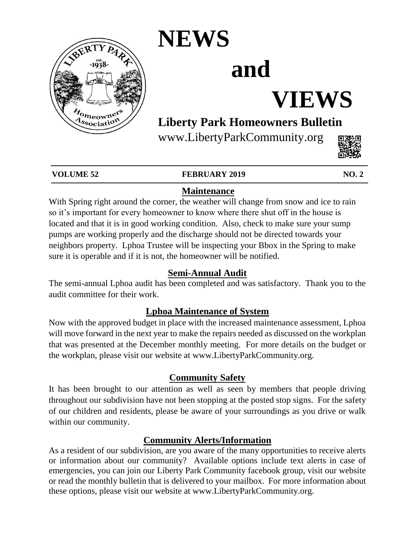

### **NEWS**

# **and**

# **VIEWS**

### **Liberty Park Homeowners Bulletin**

www.LibertyParkCommunity.org



#### **VOLUME 52 FEBRUARY 2019 NO. 2**

### **Maintenance**

With Spring right around the corner, the weather will change from snow and ice to rain so it's important for every homeowner to know where there shut off in the house is located and that it is in good working condition. Also, check to make sure your sump pumps are working properly and the discharge should not be directed towards your neighbors property. Lphoa Trustee will be inspecting your Bbox in the Spring to make sure it is operable and if it is not, the homeowner will be notified.

#### **Semi-Annual Audit**

The semi-annual Lphoa audit has been completed and was satisfactory. Thank you to the audit committee for their work.

#### **Lphoa Maintenance of System**

Now with the approved budget in place with the increased maintenance assessment, Lphoa will move forward in the next year to make the repairs needed as discussed on the workplan that was presented at the December monthly meeting. For more details on the budget or the workplan, please visit our website at www.LibertyParkCommunity.org.

#### **Community Safety**

It has been brought to our attention as well as seen by members that people driving throughout our subdivision have not been stopping at the posted stop signs. For the safety of our children and residents, please be aware of your surroundings as you drive or walk within our community.

#### **Community Alerts/Information**

As a resident of our subdivision, are you aware of the many opportunities to receive alerts or information about our community? Available options include text alerts in case of emergencies, you can join our Liberty Park Community facebook group, visit our website or read the monthly bulletin that is delivered to your mailbox. For more information about these options, please visit our website at www.LibertyParkCommunity.org.